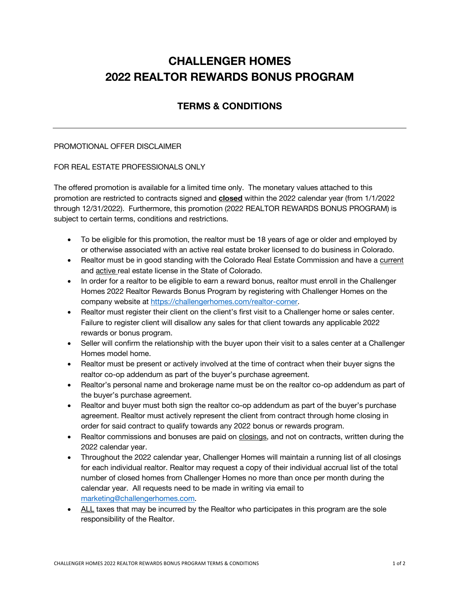## **CHALLENGER HOMES 2022 REALTOR REWARDS BONUS PROGRAM**

## **TERMS & CONDITIONS**

## PROMOTIONAL OFFER DISCLAIMER

## FOR REAL ESTATE PROFESSIONALS ONLY

The offered promotion is available for a limited time only. The monetary values attached to this promotion are restricted to contracts signed and **closed** within the 2022 calendar year (from 1/1/2022 through 12/31/2022). Furthermore, this promotion (2022 REALTOR REWARDS BONUS PROGRAM) is subject to certain terms, conditions and restrictions.

- To be eligible for this promotion, the realtor must be 18 years of age or older and employed by or otherwise associated with an active real estate broker licensed to do business in Colorado.
- Realtor must be in good standing with the Colorado Real Estate Commission and have a current and active real estate license in the State of Colorado.
- In order for a realtor to be eligible to earn a reward bonus, realtor must enroll in the Challenger Homes 2022 Realtor Rewards Bonus Program by registering with Challenger Homes on the company website at https://challengerhomes.com/realtor-corner.
- Realtor must register their client on the client's first visit to a Challenger home or sales center. Failure to register client will disallow any sales for that client towards any applicable 2022 rewards or bonus program.
- Seller will confirm the relationship with the buyer upon their visit to a sales center at a Challenger Homes model home.
- Realtor must be present or actively involved at the time of contract when their buyer signs the realtor co-op addendum as part of the buyer's purchase agreement.
- Realtor's personal name and brokerage name must be on the realtor co-op addendum as part of the buyer's purchase agreement.
- Realtor and buyer must both sign the realtor co-op addendum as part of the buyer's purchase agreement. Realtor must actively represent the client from contract through home closing in order for said contract to qualify towards any 2022 bonus or rewards program.
- Realtor commissions and bonuses are paid on closings, and not on contracts, written during the 2022 calendar year.
- Throughout the 2022 calendar year, Challenger Homes will maintain a running list of all closings for each individual realtor. Realtor may request a copy of their individual accrual list of the total number of closed homes from Challenger Homes no more than once per month during the calendar year. All requests need to be made in writing via email to marketing@challengerhomes.com.
- ALL taxes that may be incurred by the Realtor who participates in this program are the sole responsibility of the Realtor.